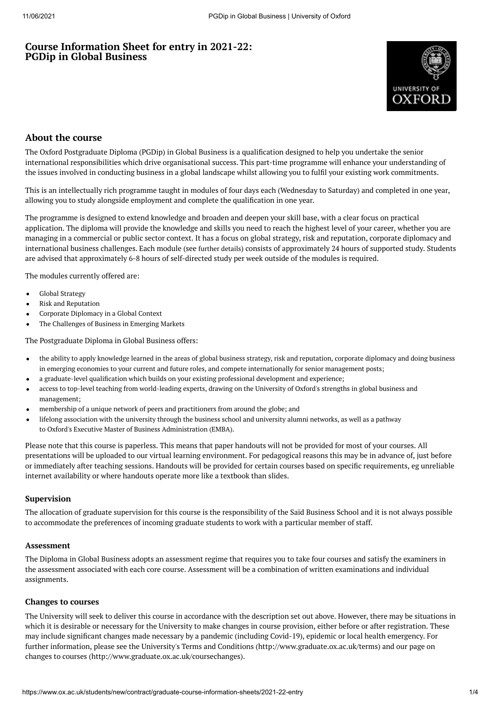## **Course Information Sheet for entry in 2021-22: PGDip in Global Business**



## **About the course**

The Oxford Postgraduate Diploma (PGDip) in Global Business is a qualification designed to help you undertake the senior international responsibilities which drive organisational success. This part-time programme will enhance your understanding of the issues involved in conducting business in a global landscape whilst allowing you to fulfil your existing work commitments.

This is an intellectually rich programme taught in modules of four days each (Wednesday to Saturday) and completed in one year, allowing you to study alongside employment and complete the qualification in one year.

The programme is designed to extend knowledge and broaden and deepen your skill base, with a clear focus on practical application. The diploma will provide the knowledge and skills you need to reach the highest level of your career, whether you are managing in a commercial or public sector context. It has a focus on global strategy, risk and reputation, corporate diplomacy and international business challenges. Each module (see [further](https://www.sbs.ox.ac.uk/programmes/oxford-diploma-global-business/programme-outline) details) consists of approximately 24 hours of supported study. Students are advised that approximately 6-8 hours of self-directed study per week outside of the modules is required.

The modules currently offered are:

- Global Strategy
- Risk and Reputation
- Corporate Diplomacy in a Global Context
- The Challenges of Business in Emerging Markets

The Postgraduate Diploma in Global Business offers:

- the ability to apply knowledge learned in the areas of global business strategy, risk and reputation, corporate diplomacy and doing business in emerging economies to your current and future roles, and compete internationally for senior management posts;
- a graduate-level qualification which builds on your existing professional development and experience;
- access to top-level teaching from world-leading experts, drawing on the University of Oxford's strengths in global business and management;
- membership of a unique network of peers and practitioners from around the globe; and
- lifelong association with the university through the business school and university alumni networks, as well as a pathway to Oxford's Executive Master of Business [Administration](https://www.ox.ac.uk/admissions/graduate/courses/executive-mba) (EMBA).

Please note that this course is paperless. This means that paper handouts will not be provided for most of your courses. All presentations will be uploaded to our virtual learning environment. For pedagogical reasons this may be in advance of, just before or immediately after teaching sessions. Handouts will be provided for certain courses based on specific requirements, eg unreliable internet availability or where handouts operate more like a textbook than slides.

#### **Supervision**

The allocation of graduate supervision for this course is the responsibility of the Saïd Business School and it is not always possible to accommodate the preferences of incoming graduate students to work with a particular member of staff.

#### **Assessment**

The Diploma in Global Business adopts an assessment regime that requires you to take four courses and satisfy the examiners in the assessment associated with each core course. Assessment will be a combination of written examinations and individual assignments.

#### **Changes to courses**

The University will seek to deliver this course in accordance with the description set out above. However, there may be situations in which it is desirable or necessary for the University to make changes in course provision, either before or after registration. These may include significant changes made necessary by a pandemic (including Covid-19), epidemic or local health emergency. For further information, please see the University's Terms and Conditions (http://www.graduate.ox.ac.uk/terms) and our page on changes to courses (http://www.graduate.ox.ac.uk/coursechanges).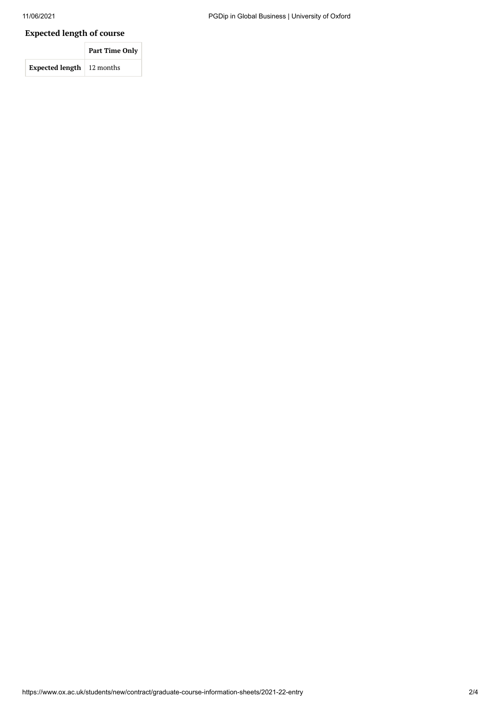# **Expected length of course**

|                                    | <b>Part Time Only</b> |
|------------------------------------|-----------------------|
| <b>Expected length</b>   12 months |                       |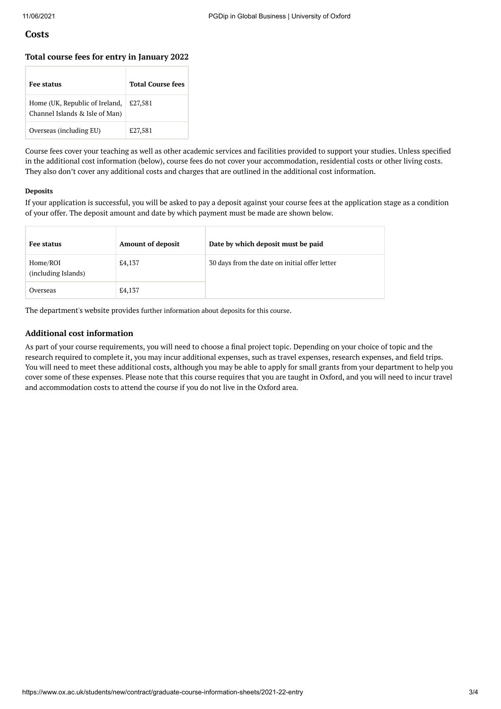### **Costs**

#### **Total course fees for entry in January 2022**

| Fee status                                                       | <b>Total Course fees</b> |
|------------------------------------------------------------------|--------------------------|
| Home (UK, Republic of Ireland,<br>Channel Islands & Isle of Man) | £27,581                  |
| Overseas (including EU)                                          | £27,581                  |

Course fees cover your teaching as well as other academic services and facilities provided to support your studies. Unless specified in the additional cost information (below), course fees do not cover your accommodation, residential costs or other living costs. They also don't cover any additional costs and charges that are outlined in the additional cost information.

#### **Deposits**

If your application is successful, you will be asked to pay a deposit against your course fees at the application stage as a condition of your offer. The deposit amount and date by which payment must be made are shown below.

| Fee status                      | <b>Amount of deposit</b> | Date by which deposit must be paid            |
|---------------------------------|--------------------------|-----------------------------------------------|
| Home/ROI<br>(including Islands) | £4,137                   | 30 days from the date on initial offer letter |
| Overseas                        | £4,137                   |                                               |

The department's website provides further [information](https://www.sbs.ox.ac.uk/programmes/degrees/dgb/how-apply) about deposits for this course.

#### **Additional cost information**

As part of your course requirements, you will need to choose a final project topic. Depending on your choice of topic and the research required to complete it, you may incur additional expenses, such as travel expenses, research expenses, and field trips. You will need to meet these additional costs, although you may be able to apply for small grants from your department to help you cover some of these expenses. Please note that this course requires that you are taught in Oxford, and you will need to incur travel and accommodation costs to attend the course if you do not live in the Oxford area.